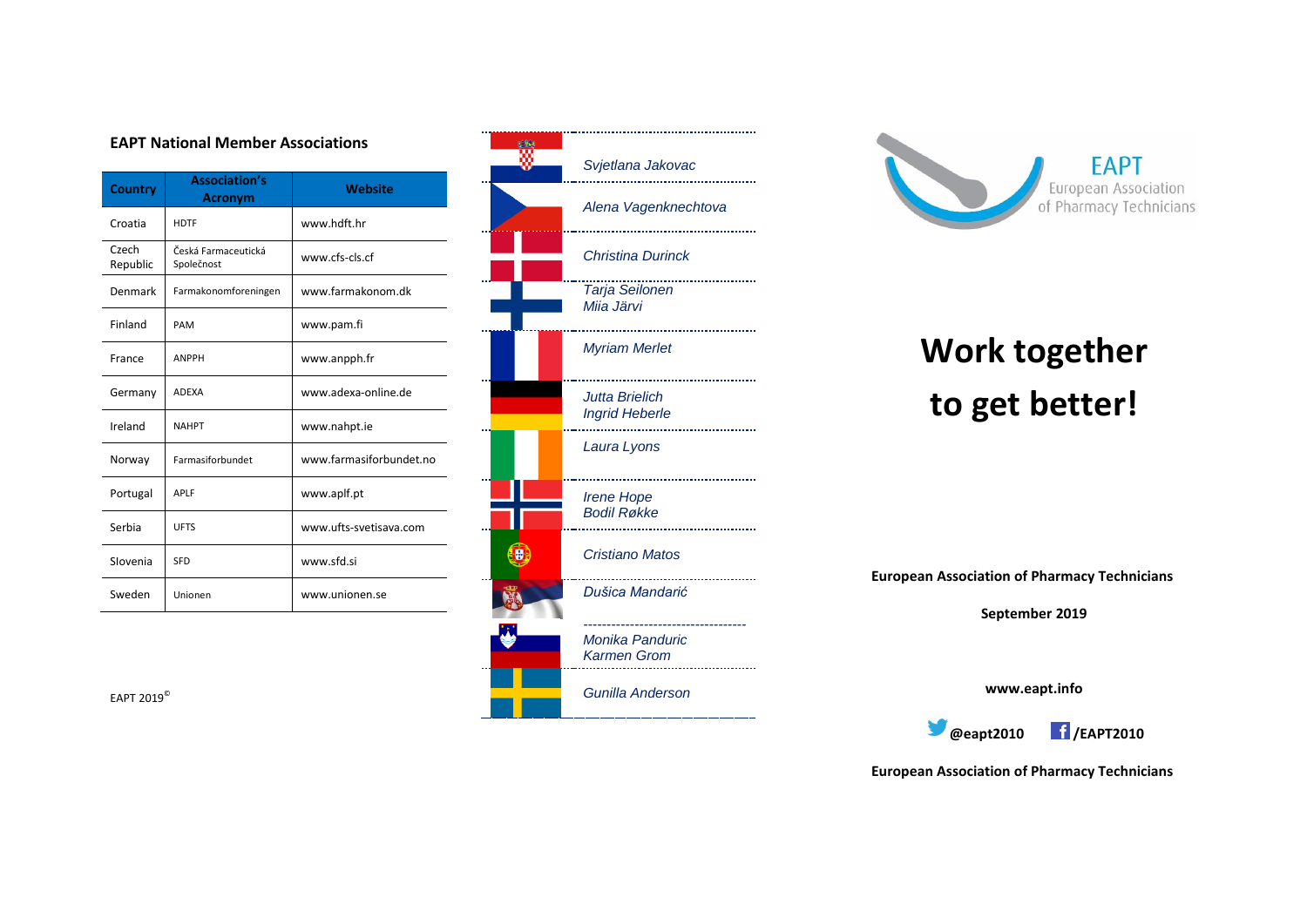#### **EAPT National Member Associations**

| <b>Country</b>    | <b>Association's</b><br><b>Acronym</b> | <b>Website</b>          |
|-------------------|----------------------------------------|-------------------------|
| Croatia           | <b>HDTF</b>                            | www.hdft.hr             |
| Czech<br>Republic | Česká Farmaceutická<br>Společnost      | www.cfs-cls.cf          |
| Denmark           | Farmakonomforeningen                   | www.farmakonom.dk       |
| Finland           | PAM                                    | www.pam.fi              |
| France            | <b>ANPPH</b>                           | www.anpph.fr            |
| Germany           | <b>ADFXA</b>                           | www.adexa-online.de     |
| Ireland           | <b>NAHPT</b>                           | www.nahpt.ie            |
| Norway            | Farmasiforbundet                       | www.farmasiforbundet.no |
| Portugal          | <b>APIF</b>                            | www.aplf.pt             |
| Serbia            | <b>UFTS</b>                            | www.ufts-svetisava.com  |
| Slovenia          | SFD                                    | www.sfd.si              |
| Sweden            | Unionen                                | www.unionen.se          |







# **Work together to get better!**

**European Association of Pharmacy Technicians**

**September 2019**

**www.eapt.info**



**European Association of Pharmacy Technicians**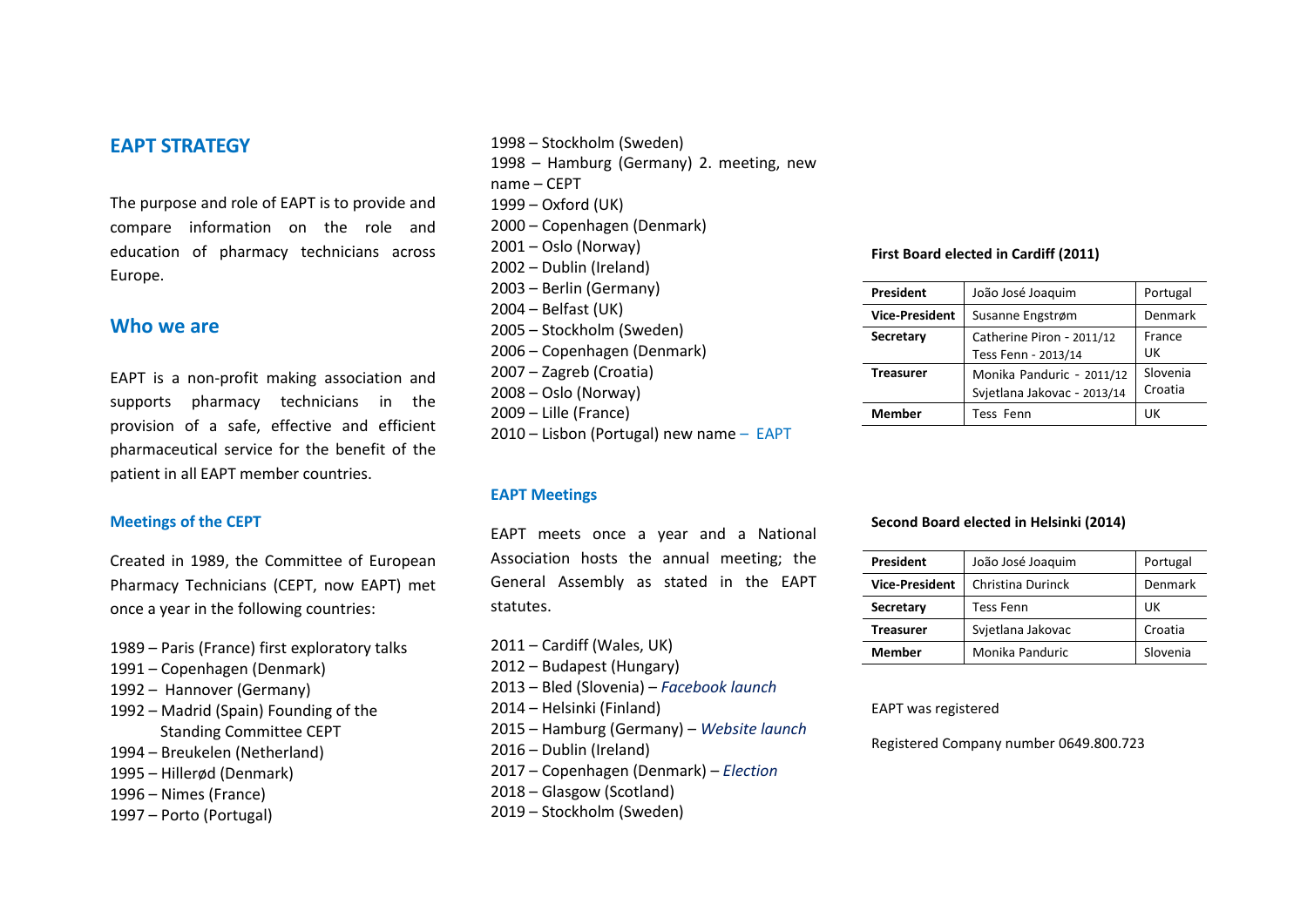## **EAPT STRATEGY**

The purpose and role of EAPT is to provide and compare information on the role and education of pharmacy technicians across Europe.

### **Who we are**

EAPT is a non-profit making association and supports pharmacy technicians in the provision of a safe, effective and efficient pharmaceutical service for the benefit of the patient in all EAPT member countries.

#### **Meetings of the CEPT**

Created in 1989, the Committee of European Pharmacy Technicians (CEPT, now EAPT) met once a year in the following countries:

- 1989 Paris (France) first exploratory talks
- 1991 Copenhagen (Denmark)
- 1992 Hannover (Germany)
- 1992 Madrid (Spain) Founding of the Standing Committee CEPT
- 1994 Breukelen (Netherland)
- 1995 Hillerød (Denmark)
- 1996 Nimes (France)
- 1997 Porto (Portugal)

 – Stockholm (Sweden) – Hamburg (Germany) 2. meeting, new name – CEPT – Oxford (UK) – Copenhagen (Denmark) – Oslo (Norway) – Dublin (Ireland) – Berlin (Germany) – Belfast (UK) – Stockholm (Sweden) – Copenhagen (Denmark) – Zagreb (Croatia) – Oslo (Norway) – Lille (France) – Lisbon (Portugal) new name – EAPT

#### **EAPT Meetings**

EAPT meets once a year and a National Association hosts the annual meeting; the General Assembly as stated in the EAPT statutes.

– Cardiff (Wales, UK) – Budapest (Hungary) – Bled (Slovenia) – *Facebook launch* – Helsinki (Finland) – Hamburg (Germany) – *Website launch* – Dublin (Ireland) – Copenhagen (Denmark) – *Election* – Glasgow (Scotland) – Stockholm (Sweden)

#### **First Board elected in Cardiff (2011)**

| President             | João José Joaquim                                        | Portugal            |
|-----------------------|----------------------------------------------------------|---------------------|
| <b>Vice-President</b> | Susanne Engstrøm                                         | Denmark             |
| Secretary             | Catherine Piron - 2011/12<br>Tess Fenn - 2013/14         | France<br>UK        |
| <b>Treasurer</b>      | Monika Panduric - 2011/12<br>Svjetlana Jakovac - 2013/14 | Slovenia<br>Croatia |
| <b>Member</b>         | Tess Fenn                                                | UK                  |

#### **Second Board elected in Helsinki (2014)**

| President             | João José Joaquim | Portugal |
|-----------------------|-------------------|----------|
| <b>Vice-President</b> | Christina Durinck | Denmark  |
| Secretary             | Tess Fenn         | UK       |
| <b>Treasurer</b>      | Svjetlana Jakovac | Croatia  |
| <b>Member</b>         | Monika Panduric   | Slovenia |

EAPT was registered

Registered Company number 0649.800.723